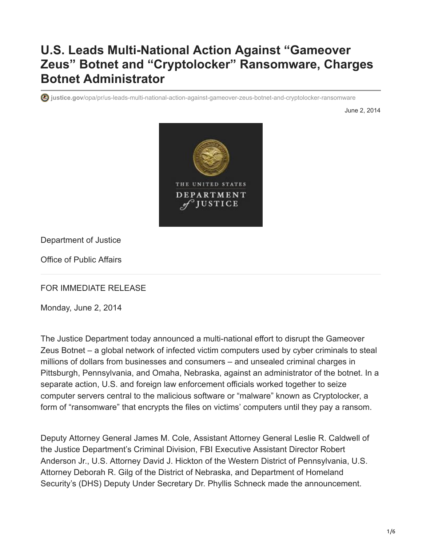## **U.S. Leads Multi-National Action Against "Gameover Zeus" Botnet and "Cryptolocker" Ransomware, Charges Botnet Administrator**

**justice.gov**[/opa/pr/us-leads-multi-national-action-against-gameover-zeus-botnet-and-cryptolocker-ransomware](https://www.justice.gov/opa/pr/us-leads-multi-national-action-against-gameover-zeus-botnet-and-cryptolocker-ransomware)

June 2, 2014



Department of Justice

Office of Public Affairs

FOR IMMEDIATE RELEASE

Monday, June 2, 2014

The Justice Department today announced a multi-national effort to disrupt the Gameover Zeus Botnet – a global network of infected victim computers used by cyber criminals to steal millions of dollars from businesses and consumers – and unsealed criminal charges in Pittsburgh, Pennsylvania, and Omaha, Nebraska, against an administrator of the botnet. In a separate action, U.S. and foreign law enforcement officials worked together to seize computer servers central to the malicious software or "malware" known as Cryptolocker, a form of "ransomware" that encrypts the files on victims' computers until they pay a ransom.

Deputy Attorney General James M. Cole, Assistant Attorney General Leslie R. Caldwell of the Justice Department's Criminal Division, FBI Executive Assistant Director Robert Anderson Jr., U.S. Attorney David J. Hickton of the Western District of Pennsylvania, U.S. Attorney Deborah R. Gilg of the District of Nebraska, and Department of Homeland Security's (DHS) Deputy Under Secretary Dr. Phyllis Schneck made the announcement.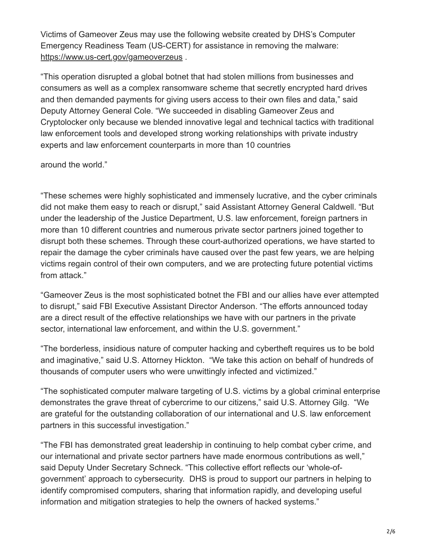Victims of Gameover Zeus may use the following website created by DHS's Computer Emergency Readiness Team (US-CERT) for assistance in removing the malware: <https://www.us-cert.gov/gameoverzeus> .

"This operation disrupted a global botnet that had stolen millions from businesses and consumers as well as a complex ransomware scheme that secretly encrypted hard drives and then demanded payments for giving users access to their own files and data," said Deputy Attorney General Cole. "We succeeded in disabling Gameover Zeus and Cryptolocker only because we blended innovative legal and technical tactics with traditional law enforcement tools and developed strong working relationships with private industry experts and law enforcement counterparts in more than 10 countries

around the world."

"These schemes were highly sophisticated and immensely lucrative, and the cyber criminals did not make them easy to reach or disrupt," said Assistant Attorney General Caldwell. "But under the leadership of the Justice Department, U.S. law enforcement, foreign partners in more than 10 different countries and numerous private sector partners joined together to disrupt both these schemes. Through these court-authorized operations, we have started to repair the damage the cyber criminals have caused over the past few years, we are helping victims regain control of their own computers, and we are protecting future potential victims from attack."

"Gameover Zeus is the most sophisticated botnet the FBI and our allies have ever attempted to disrupt," said FBI Executive Assistant Director Anderson. "The efforts announced today are a direct result of the effective relationships we have with our partners in the private sector, international law enforcement, and within the U.S. government."

"The borderless, insidious nature of computer hacking and cybertheft requires us to be bold and imaginative," said U.S. Attorney Hickton. "We take this action on behalf of hundreds of thousands of computer users who were unwittingly infected and victimized."

"The sophisticated computer malware targeting of U.S. victims by a global criminal enterprise demonstrates the grave threat of cybercrime to our citizens," said U.S. Attorney Gilg. "We are grateful for the outstanding collaboration of our international and U.S. law enforcement partners in this successful investigation."

"The FBI has demonstrated great leadership in continuing to help combat cyber crime, and our international and private sector partners have made enormous contributions as well," said Deputy Under Secretary Schneck. "This collective effort reflects our 'whole-ofgovernment' approach to cybersecurity. DHS is proud to support our partners in helping to identify compromised computers, sharing that information rapidly, and developing useful information and mitigation strategies to help the owners of hacked systems."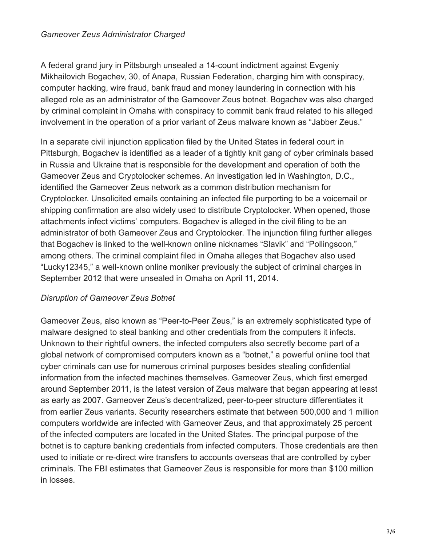A federal grand jury in Pittsburgh unsealed a 14-count indictment against Evgeniy Mikhailovich Bogachev, 30, of Anapa, Russian Federation, charging him with conspiracy, computer hacking, wire fraud, bank fraud and money laundering in connection with his alleged role as an administrator of the Gameover Zeus botnet. Bogachev was also charged by criminal complaint in Omaha with conspiracy to commit bank fraud related to his alleged involvement in the operation of a prior variant of Zeus malware known as "Jabber Zeus."

In a separate civil injunction application filed by the United States in federal court in Pittsburgh, Bogachev is identified as a leader of a tightly knit gang of cyber criminals based in Russia and Ukraine that is responsible for the development and operation of both the Gameover Zeus and Cryptolocker schemes. An investigation led in Washington, D.C., identified the Gameover Zeus network as a common distribution mechanism for Cryptolocker. Unsolicited emails containing an infected file purporting to be a voicemail or shipping confirmation are also widely used to distribute Cryptolocker. When opened, those attachments infect victims' computers. Bogachev is alleged in the civil filing to be an administrator of both Gameover Zeus and Cryptolocker. The injunction filing further alleges that Bogachev is linked to the well-known online nicknames "Slavik" and "Pollingsoon," among others. The criminal complaint filed in Omaha alleges that Bogachev also used "Lucky12345," a well-known online moniker previously the subject of criminal charges in September 2012 that were unsealed in Omaha on April 11, 2014.

## *Disruption of Gameover Zeus Botnet*

Gameover Zeus, also known as "Peer-to-Peer Zeus," is an extremely sophisticated type of malware designed to steal banking and other credentials from the computers it infects. Unknown to their rightful owners, the infected computers also secretly become part of a global network of compromised computers known as a "botnet," a powerful online tool that cyber criminals can use for numerous criminal purposes besides stealing confidential information from the infected machines themselves. Gameover Zeus, which first emerged around September 2011, is the latest version of Zeus malware that began appearing at least as early as 2007. Gameover Zeus's decentralized, peer-to-peer structure differentiates it from earlier Zeus variants. Security researchers estimate that between 500,000 and 1 million computers worldwide are infected with Gameover Zeus, and that approximately 25 percent of the infected computers are located in the United States. The principal purpose of the botnet is to capture banking credentials from infected computers. Those credentials are then used to initiate or re-direct wire transfers to accounts overseas that are controlled by cyber criminals. The FBI estimates that Gameover Zeus is responsible for more than \$100 million in losses.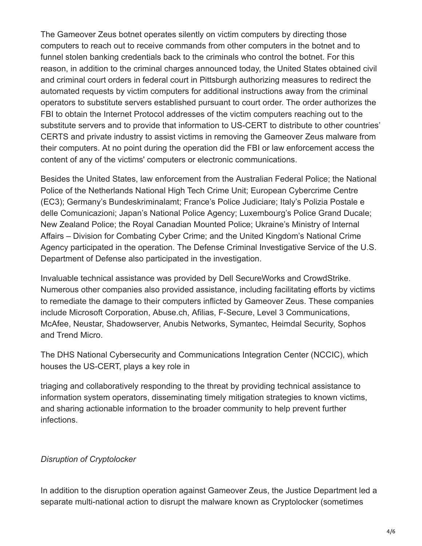The Gameover Zeus botnet operates silently on victim computers by directing those computers to reach out to receive commands from other computers in the botnet and to funnel stolen banking credentials back to the criminals who control the botnet. For this reason, in addition to the criminal charges announced today, the United States obtained civil and criminal court orders in federal court in Pittsburgh authorizing measures to redirect the automated requests by victim computers for additional instructions away from the criminal operators to substitute servers established pursuant to court order. The order authorizes the FBI to obtain the Internet Protocol addresses of the victim computers reaching out to the substitute servers and to provide that information to US-CERT to distribute to other countries' CERTS and private industry to assist victims in removing the Gameover Zeus malware from their computers. At no point during the operation did the FBI or law enforcement access the content of any of the victims' computers or electronic communications.

Besides the United States, law enforcement from the Australian Federal Police; the National Police of the Netherlands National High Tech Crime Unit; European Cybercrime Centre (EC3); Germany's Bundeskriminalamt; France's Police Judiciare; Italy's Polizia Postale e delle Comunicazioni; Japan's National Police Agency; Luxembourg's Police Grand Ducale; New Zealand Police; the Royal Canadian Mounted Police; Ukraine's Ministry of Internal Affairs – Division for Combating Cyber Crime; and the United Kingdom's National Crime Agency participated in the operation. The Defense Criminal Investigative Service of the U.S. Department of Defense also participated in the investigation.

Invaluable technical assistance was provided by Dell SecureWorks and CrowdStrike. Numerous other companies also provided assistance, including facilitating efforts by victims to remediate the damage to their computers inflicted by Gameover Zeus. These companies include Microsoft Corporation, Abuse.ch, Afilias, F-Secure, Level 3 Communications, McAfee, Neustar, Shadowserver, Anubis Networks, Symantec, Heimdal Security, Sophos and Trend Micro.

The DHS National Cybersecurity and Communications Integration Center (NCCIC), which houses the US-CERT, plays a key role in

triaging and collaboratively responding to the threat by providing technical assistance to information system operators, disseminating timely mitigation strategies to known victims, and sharing actionable information to the broader community to help prevent further infections.

## *Disruption of Cryptolocker*

In addition to the disruption operation against Gameover Zeus, the Justice Department led a separate multi-national action to disrupt the malware known as Cryptolocker (sometimes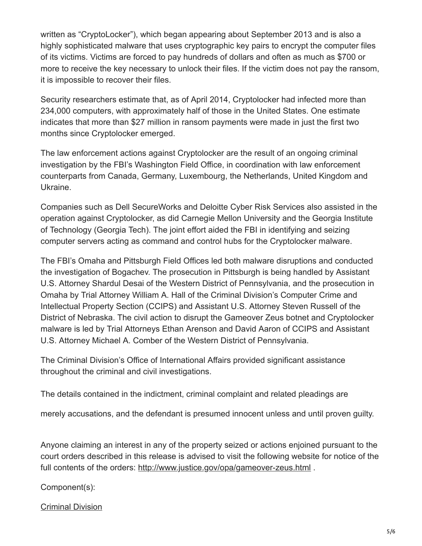written as "CryptoLocker"), which began appearing about September 2013 and is also a highly sophisticated malware that uses cryptographic key pairs to encrypt the computer files of its victims. Victims are forced to pay hundreds of dollars and often as much as \$700 or more to receive the key necessary to unlock their files. If the victim does not pay the ransom, it is impossible to recover their files.

Security researchers estimate that, as of April 2014, Cryptolocker had infected more than 234,000 computers, with approximately half of those in the United States. One estimate indicates that more than \$27 million in ransom payments were made in just the first two months since Cryptolocker emerged.

The law enforcement actions against Cryptolocker are the result of an ongoing criminal investigation by the FBI's Washington Field Office, in coordination with law enforcement counterparts from Canada, Germany, Luxembourg, the Netherlands, United Kingdom and Ukraine.

Companies such as Dell SecureWorks and Deloitte Cyber Risk Services also assisted in the operation against Cryptolocker, as did Carnegie Mellon University and the Georgia Institute of Technology (Georgia Tech). The joint effort aided the FBI in identifying and seizing computer servers acting as command and control hubs for the Cryptolocker malware.

The FBI's Omaha and Pittsburgh Field Offices led both malware disruptions and conducted the investigation of Bogachev. The prosecution in Pittsburgh is being handled by Assistant U.S. Attorney Shardul Desai of the Western District of Pennsylvania, and the prosecution in Omaha by Trial Attorney William A. Hall of the Criminal Division's Computer Crime and Intellectual Property Section (CCIPS) and Assistant U.S. Attorney Steven Russell of the District of Nebraska. The civil action to disrupt the Gameover Zeus botnet and Cryptolocker malware is led by Trial Attorneys Ethan Arenson and David Aaron of CCIPS and Assistant U.S. Attorney Michael A. Comber of the Western District of Pennsylvania.

The Criminal Division's Office of International Affairs provided significant assistance throughout the criminal and civil investigations.

The details contained in the indictment, criminal complaint and related pleadings are

merely accusations, and the defendant is presumed innocent unless and until proven guilty.

Anyone claiming an interest in any of the property seized or actions enjoined pursuant to the court orders described in this release is advised to visit the following website for notice of the full contents of the orders: [http://www.justice.gov/opa/gameover-zeus.html](https://www.justice.gov/opa/gameover-zeus.html) .

Component(s):

[Criminal Division](http://www.justice.gov/criminal/)